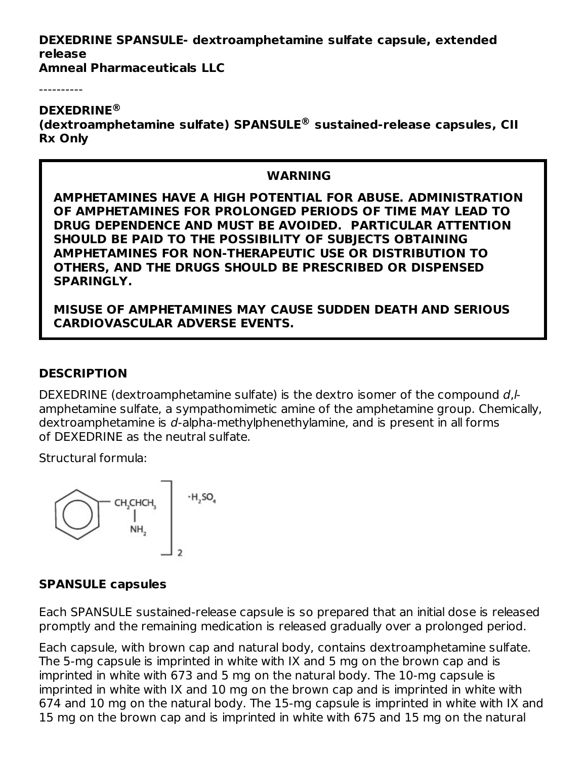**DEXEDRINE SPANSULE- dextroamphetamine sulfate capsule, extended release**

**Amneal Pharmaceuticals LLC**

----------

#### **DEXEDRINE ®**

**(dextroamphetamine sulfate) SPANSULE sustained-release capsules, CII ®Rx Only**

#### **WARNING**

**AMPHETAMINES HAVE A HIGH POTENTIAL FOR ABUSE. ADMINISTRATION OF AMPHETAMINES FOR PROLONGED PERIODS OF TIME MAY LEAD TO DRUG DEPENDENCE AND MUST BE AVOIDED. PARTICULAR ATTENTION SHOULD BE PAID TO THE POSSIBILITY OF SUBJECTS OBTAINING AMPHETAMINES FOR NON-THERAPEUTIC USE OR DISTRIBUTION TO OTHERS, AND THE DRUGS SHOULD BE PRESCRIBED OR DISPENSED SPARINGLY.**

**MISUSE OF AMPHETAMINES MAY CAUSE SUDDEN DEATH AND SERIOUS CARDIOVASCULAR ADVERSE EVENTS.**

#### **DESCRIPTION**

DEXEDRINE (dextroamphetamine sulfate) is the dextro isomer of the compound d,lamphetamine sulfate, a sympathomimetic amine of the amphetamine group. Chemically, dextroamphetamine is d-alpha-methylphenethylamine, and is present in all forms of DEXEDRINE as the neutral sulfate.

Structural formula:



#### **SPANSULE capsules**

Each SPANSULE sustained-release capsule is so prepared that an initial dose is released promptly and the remaining medication is released gradually over a prolonged period.

Each capsule, with brown cap and natural body, contains dextroamphetamine sulfate. The 5-mg capsule is imprinted in white with IX and 5 mg on the brown cap and is imprinted in white with 673 and 5 mg on the natural body. The 10-mg capsule is imprinted in white with IX and 10 mg on the brown cap and is imprinted in white with 674 and 10 mg on the natural body. The 15-mg capsule is imprinted in white with IX and 15 mg on the brown cap and is imprinted in white with 675 and 15 mg on the natural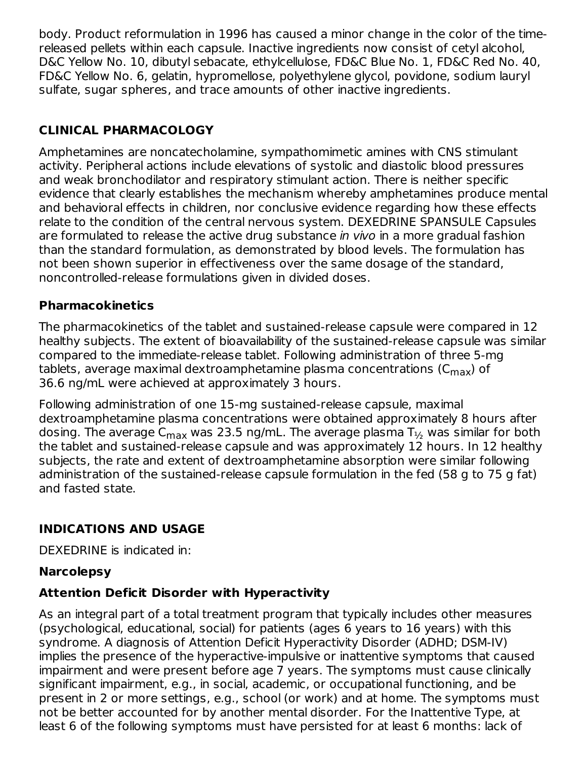body. Product reformulation in 1996 has caused a minor change in the color of the timereleased pellets within each capsule. Inactive ingredients now consist of cetyl alcohol, D&C Yellow No. 10, dibutyl sebacate, ethylcellulose, FD&C Blue No. 1, FD&C Red No. 40, FD&C Yellow No. 6, gelatin, hypromellose, polyethylene glycol, povidone, sodium lauryl sulfate, sugar spheres, and trace amounts of other inactive ingredients.

## **CLINICAL PHARMACOLOGY**

Amphetamines are noncatecholamine, sympathomimetic amines with CNS stimulant activity. Peripheral actions include elevations of systolic and diastolic blood pressures and weak bronchodilator and respiratory stimulant action. There is neither specific evidence that clearly establishes the mechanism whereby amphetamines produce mental and behavioral effects in children, nor conclusive evidence regarding how these effects relate to the condition of the central nervous system. DEXEDRINE SPANSULE Capsules are formulated to release the active drug substance in vivo in a more gradual fashion than the standard formulation, as demonstrated by blood levels. The formulation has not been shown superior in effectiveness over the same dosage of the standard, noncontrolled-release formulations given in divided doses.

## **Pharmacokinetics**

The pharmacokinetics of the tablet and sustained-release capsule were compared in 12 healthy subjects. The extent of bioavailability of the sustained-release capsule was similar compared to the immediate-release tablet. Following administration of three 5-mg tablets, average maximal dextroamphetamine plasma concentrations (C<sub>max</sub>) of 36.6 ng/mL were achieved at approximately 3 hours.

Following administration of one 15-mg sustained-release capsule, maximal dextroamphetamine plasma concentrations were obtained approximately 8 hours after dosing. The average C<sub>max</sub> was 23.5 ng/mL. The average plasma T $_{\rm 1\!}/_{\rm 2}$  was similar for both the tablet and sustained-release capsule and was approximately 12 hours. In 12 healthy subjects, the rate and extent of dextroamphetamine absorption were similar following administration of the sustained-release capsule formulation in the fed (58 g to 75 g fat) and fasted state.

# **INDICATIONS AND USAGE**

DEXEDRINE is indicated in:

## **Narcolepsy**

# **Attention Deficit Disorder with Hyperactivity**

As an integral part of a total treatment program that typically includes other measures (psychological, educational, social) for patients (ages 6 years to 16 years) with this syndrome. A diagnosis of Attention Deficit Hyperactivity Disorder (ADHD; DSM-IV) implies the presence of the hyperactive-impulsive or inattentive symptoms that caused impairment and were present before age 7 years. The symptoms must cause clinically significant impairment, e.g., in social, academic, or occupational functioning, and be present in 2 or more settings, e.g., school (or work) and at home. The symptoms must not be better accounted for by another mental disorder. For the Inattentive Type, at least 6 of the following symptoms must have persisted for at least 6 months: lack of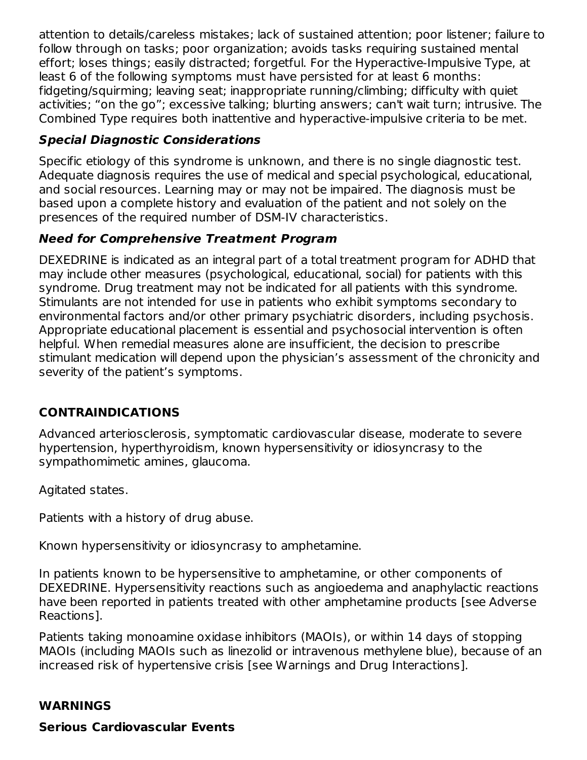attention to details/careless mistakes; lack of sustained attention; poor listener; failure to follow through on tasks; poor organization; avoids tasks requiring sustained mental effort; loses things; easily distracted; forgetful. For the Hyperactive-Impulsive Type, at least 6 of the following symptoms must have persisted for at least 6 months: fidgeting/squirming; leaving seat; inappropriate running/climbing; difficulty with quiet activities; "on the go"; excessive talking; blurting answers; can't wait turn; intrusive. The Combined Type requires both inattentive and hyperactive-impulsive criteria to be met.

## **Special Diagnostic Considerations**

Specific etiology of this syndrome is unknown, and there is no single diagnostic test. Adequate diagnosis requires the use of medical and special psychological, educational, and social resources. Learning may or may not be impaired. The diagnosis must be based upon a complete history and evaluation of the patient and not solely on the presences of the required number of DSM-IV characteristics.

## **Need for Comprehensive Treatment Program**

DEXEDRINE is indicated as an integral part of a total treatment program for ADHD that may include other measures (psychological, educational, social) for patients with this syndrome. Drug treatment may not be indicated for all patients with this syndrome. Stimulants are not intended for use in patients who exhibit symptoms secondary to environmental factors and/or other primary psychiatric disorders, including psychosis. Appropriate educational placement is essential and psychosocial intervention is often helpful. When remedial measures alone are insufficient, the decision to prescribe stimulant medication will depend upon the physician's assessment of the chronicity and severity of the patient's symptoms.

## **CONTRAINDICATIONS**

Advanced arteriosclerosis, symptomatic cardiovascular disease, moderate to severe hypertension, hyperthyroidism, known hypersensitivity or idiosyncrasy to the sympathomimetic amines, glaucoma.

Agitated states.

Patients with a history of drug abuse.

Known hypersensitivity or idiosyncrasy to amphetamine.

In patients known to be hypersensitive to amphetamine, or other components of DEXEDRINE. Hypersensitivity reactions such as angioedema and anaphylactic reactions have been reported in patients treated with other amphetamine products [see Adverse Reactions].

Patients taking monoamine oxidase inhibitors (MAOIs), or within 14 days of stopping MAOIs (including MAOIs such as linezolid or intravenous methylene blue), because of an increased risk of hypertensive crisis [see Warnings and Drug Interactions].

## **WARNINGS**

#### **Serious Cardiovascular Events**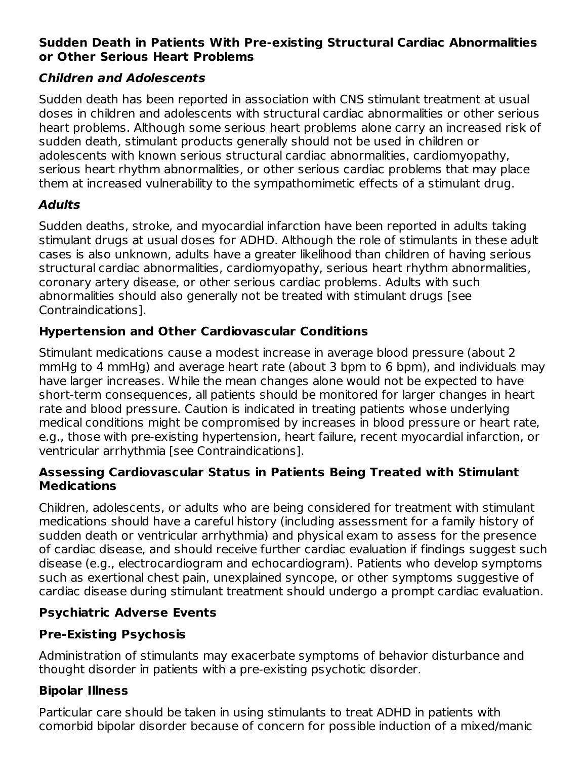#### **Sudden Death in Patients With Pre-existing Structural Cardiac Abnormalities or Other Serious Heart Problems**

## **Children and Adolescents**

Sudden death has been reported in association with CNS stimulant treatment at usual doses in children and adolescents with structural cardiac abnormalities or other serious heart problems. Although some serious heart problems alone carry an increased risk of sudden death, stimulant products generally should not be used in children or adolescents with known serious structural cardiac abnormalities, cardiomyopathy, serious heart rhythm abnormalities, or other serious cardiac problems that may place them at increased vulnerability to the sympathomimetic effects of a stimulant drug.

## **Adults**

Sudden deaths, stroke, and myocardial infarction have been reported in adults taking stimulant drugs at usual doses for ADHD. Although the role of stimulants in these adult cases is also unknown, adults have a greater likelihood than children of having serious structural cardiac abnormalities, cardiomyopathy, serious heart rhythm abnormalities, coronary artery disease, or other serious cardiac problems. Adults with such abnormalities should also generally not be treated with stimulant drugs [see Contraindications].

## **Hypertension and Other Cardiovascular Conditions**

Stimulant medications cause a modest increase in average blood pressure (about 2 mmHg to 4 mmHg) and average heart rate (about 3 bpm to 6 bpm), and individuals may have larger increases. While the mean changes alone would not be expected to have short-term consequences, all patients should be monitored for larger changes in heart rate and blood pressure. Caution is indicated in treating patients whose underlying medical conditions might be compromised by increases in blood pressure or heart rate, e.g., those with pre-existing hypertension, heart failure, recent myocardial infarction, or ventricular arrhythmia [see Contraindications].

#### **Assessing Cardiovascular Status in Patients Being Treated with Stimulant Medications**

Children, adolescents, or adults who are being considered for treatment with stimulant medications should have a careful history (including assessment for a family history of sudden death or ventricular arrhythmia) and physical exam to assess for the presence of cardiac disease, and should receive further cardiac evaluation if findings suggest such disease (e.g., electrocardiogram and echocardiogram). Patients who develop symptoms such as exertional chest pain, unexplained syncope, or other symptoms suggestive of cardiac disease during stimulant treatment should undergo a prompt cardiac evaluation.

## **Psychiatric Adverse Events**

## **Pre-Existing Psychosis**

Administration of stimulants may exacerbate symptoms of behavior disturbance and thought disorder in patients with a pre-existing psychotic disorder.

## **Bipolar Illness**

Particular care should be taken in using stimulants to treat ADHD in patients with comorbid bipolar disorder because of concern for possible induction of a mixed/manic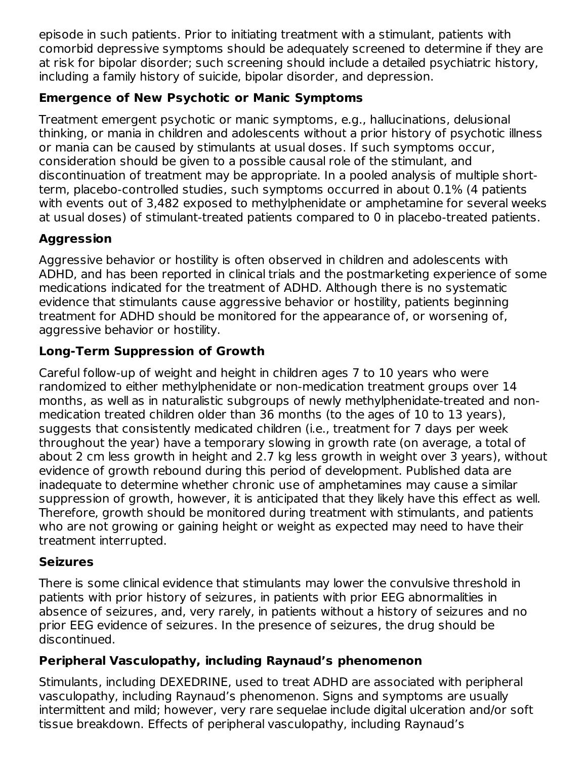episode in such patients. Prior to initiating treatment with a stimulant, patients with comorbid depressive symptoms should be adequately screened to determine if they are at risk for bipolar disorder; such screening should include a detailed psychiatric history, including a family history of suicide, bipolar disorder, and depression.

## **Emergence of New Psychotic or Manic Symptoms**

Treatment emergent psychotic or manic symptoms, e.g., hallucinations, delusional thinking, or mania in children and adolescents without a prior history of psychotic illness or mania can be caused by stimulants at usual doses. If such symptoms occur, consideration should be given to a possible causal role of the stimulant, and discontinuation of treatment may be appropriate. In a pooled analysis of multiple shortterm, placebo-controlled studies, such symptoms occurred in about 0.1% (4 patients with events out of 3,482 exposed to methylphenidate or amphetamine for several weeks at usual doses) of stimulant-treated patients compared to 0 in placebo-treated patients.

## **Aggression**

Aggressive behavior or hostility is often observed in children and adolescents with ADHD, and has been reported in clinical trials and the postmarketing experience of some medications indicated for the treatment of ADHD. Although there is no systematic evidence that stimulants cause aggressive behavior or hostility, patients beginning treatment for ADHD should be monitored for the appearance of, or worsening of, aggressive behavior or hostility.

## **Long-Term Suppression of Growth**

Careful follow-up of weight and height in children ages 7 to 10 years who were randomized to either methylphenidate or non-medication treatment groups over 14 months, as well as in naturalistic subgroups of newly methylphenidate-treated and nonmedication treated children older than 36 months (to the ages of 10 to 13 years), suggests that consistently medicated children (i.e., treatment for 7 days per week throughout the year) have a temporary slowing in growth rate (on average, a total of about 2 cm less growth in height and 2.7 kg less growth in weight over 3 years), without evidence of growth rebound during this period of development. Published data are inadequate to determine whether chronic use of amphetamines may cause a similar suppression of growth, however, it is anticipated that they likely have this effect as well. Therefore, growth should be monitored during treatment with stimulants, and patients who are not growing or gaining height or weight as expected may need to have their treatment interrupted.

## **Seizures**

There is some clinical evidence that stimulants may lower the convulsive threshold in patients with prior history of seizures, in patients with prior EEG abnormalities in absence of seizures, and, very rarely, in patients without a history of seizures and no prior EEG evidence of seizures. In the presence of seizures, the drug should be discontinued.

# **Peripheral Vasculopathy, including Raynaud's phenomenon**

Stimulants, including DEXEDRINE, used to treat ADHD are associated with peripheral vasculopathy, including Raynaud's phenomenon. Signs and symptoms are usually intermittent and mild; however, very rare sequelae include digital ulceration and/or soft tissue breakdown. Effects of peripheral vasculopathy, including Raynaud's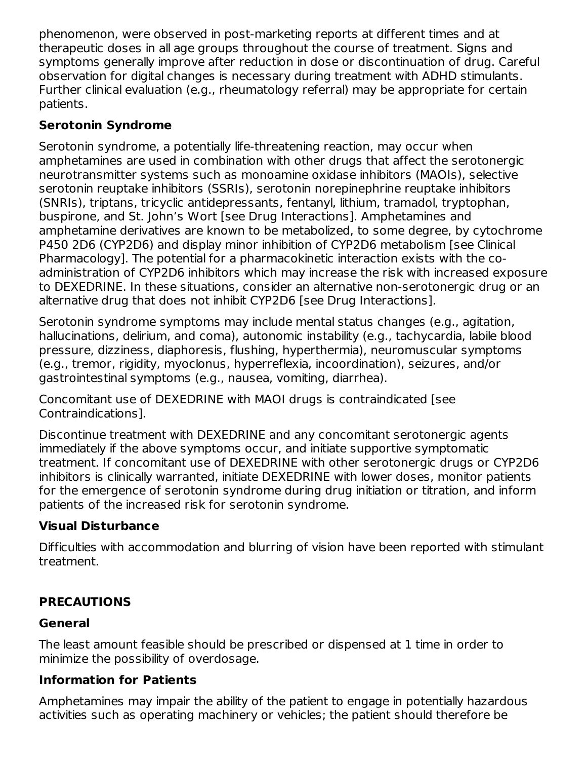phenomenon, were observed in post-marketing reports at different times and at therapeutic doses in all age groups throughout the course of treatment. Signs and symptoms generally improve after reduction in dose or discontinuation of drug. Careful observation for digital changes is necessary during treatment with ADHD stimulants. Further clinical evaluation (e.g., rheumatology referral) may be appropriate for certain patients.

## **Serotonin Syndrome**

Serotonin syndrome, a potentially life-threatening reaction, may occur when amphetamines are used in combination with other drugs that affect the serotonergic neurotransmitter systems such as monoamine oxidase inhibitors (MAOIs), selective serotonin reuptake inhibitors (SSRIs), serotonin norepinephrine reuptake inhibitors (SNRIs), triptans, tricyclic antidepressants, fentanyl, lithium, tramadol, tryptophan, buspirone, and St. John's Wort [see Drug Interactions]. Amphetamines and amphetamine derivatives are known to be metabolized, to some degree, by cytochrome P450 2D6 (CYP2D6) and display minor inhibition of CYP2D6 metabolism [see Clinical Pharmacology]. The potential for a pharmacokinetic interaction exists with the coadministration of CYP2D6 inhibitors which may increase the risk with increased exposure to DEXEDRINE. In these situations, consider an alternative non-serotonergic drug or an alternative drug that does not inhibit CYP2D6 [see Drug Interactions].

Serotonin syndrome symptoms may include mental status changes (e.g., agitation, hallucinations, delirium, and coma), autonomic instability (e.g., tachycardia, labile blood pressure, dizziness, diaphoresis, flushing, hyperthermia), neuromuscular symptoms (e.g., tremor, rigidity, myoclonus, hyperreflexia, incoordination), seizures, and/or gastrointestinal symptoms (e.g., nausea, vomiting, diarrhea).

Concomitant use of DEXEDRINE with MAOI drugs is contraindicated [see Contraindications].

Discontinue treatment with DEXEDRINE and any concomitant serotonergic agents immediately if the above symptoms occur, and initiate supportive symptomatic treatment. If concomitant use of DEXEDRINE with other serotonergic drugs or CYP2D6 inhibitors is clinically warranted, initiate DEXEDRINE with lower doses, monitor patients for the emergence of serotonin syndrome during drug initiation or titration, and inform patients of the increased risk for serotonin syndrome.

## **Visual Disturbance**

Difficulties with accommodation and blurring of vision have been reported with stimulant treatment.

## **PRECAUTIONS**

## **General**

The least amount feasible should be prescribed or dispensed at 1 time in order to minimize the possibility of overdosage.

## **Information for Patients**

Amphetamines may impair the ability of the patient to engage in potentially hazardous activities such as operating machinery or vehicles; the patient should therefore be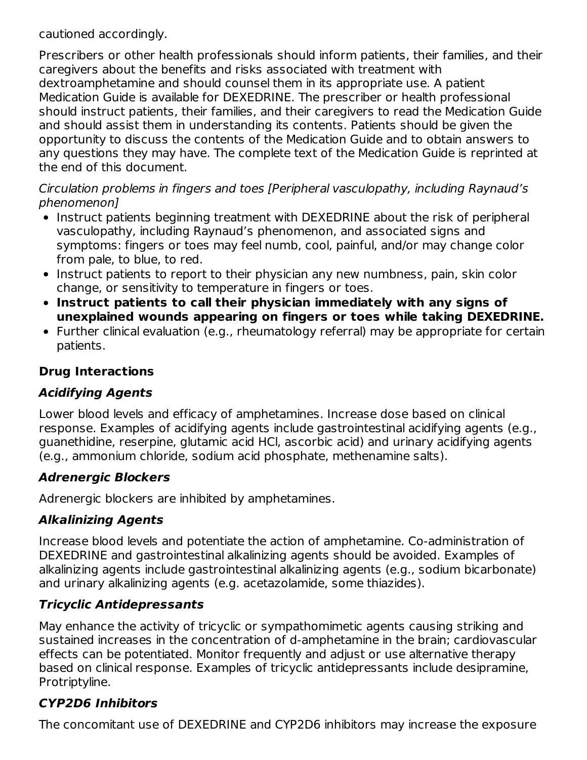cautioned accordingly.

Prescribers or other health professionals should inform patients, their families, and their caregivers about the benefits and risks associated with treatment with dextroamphetamine and should counsel them in its appropriate use. A patient Medication Guide is available for DEXEDRINE. The prescriber or health professional should instruct patients, their families, and their caregivers to read the Medication Guide and should assist them in understanding its contents. Patients should be given the opportunity to discuss the contents of the Medication Guide and to obtain answers to any questions they may have. The complete text of the Medication Guide is reprinted at the end of this document.

Circulation problems in fingers and toes [Peripheral vasculopathy, including Raynaud's phenomenon]

- Instruct patients beginning treatment with DEXEDRINE about the risk of peripheral vasculopathy, including Raynaud's phenomenon, and associated signs and symptoms: fingers or toes may feel numb, cool, painful, and/or may change color from pale, to blue, to red.
- Instruct patients to report to their physician any new numbness, pain, skin color change, or sensitivity to temperature in fingers or toes.
- **Instruct patients to call their physician immediately with any signs of unexplained wounds appearing on fingers or toes while taking DEXEDRINE.**
- Further clinical evaluation (e.g., rheumatology referral) may be appropriate for certain patients.

## **Drug Interactions**

## **Acidifying Agents**

Lower blood levels and efficacy of amphetamines. Increase dose based on clinical response. Examples of acidifying agents include gastrointestinal acidifying agents (e.g., guanethidine, reserpine, glutamic acid HCl, ascorbic acid) and urinary acidifying agents (e.g., ammonium chloride, sodium acid phosphate, methenamine salts).

## **Adrenergic Blockers**

Adrenergic blockers are inhibited by amphetamines.

## **Alkalinizing Agents**

Increase blood levels and potentiate the action of amphetamine. Co-administration of DEXEDRINE and gastrointestinal alkalinizing agents should be avoided. Examples of alkalinizing agents include gastrointestinal alkalinizing agents (e.g., sodium bicarbonate) and urinary alkalinizing agents (e.g. acetazolamide, some thiazides).

## **Tricyclic Antidepressants**

May enhance the activity of tricyclic or sympathomimetic agents causing striking and sustained increases in the concentration of d-amphetamine in the brain; cardiovascular effects can be potentiated. Monitor frequently and adjust or use alternative therapy based on clinical response. Examples of tricyclic antidepressants include desipramine, Protriptyline.

# **CYP2D6 Inhibitors**

The concomitant use of DEXEDRINE and CYP2D6 inhibitors may increase the exposure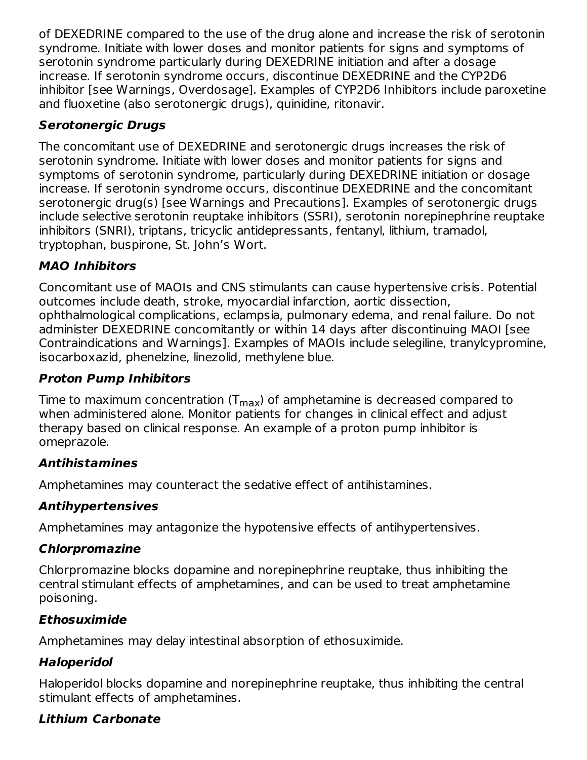of DEXEDRINE compared to the use of the drug alone and increase the risk of serotonin syndrome. Initiate with lower doses and monitor patients for signs and symptoms of serotonin syndrome particularly during DEXEDRINE initiation and after a dosage increase. If serotonin syndrome occurs, discontinue DEXEDRINE and the CYP2D6 inhibitor [see Warnings, Overdosage]. Examples of CYP2D6 Inhibitors include paroxetine and fluoxetine (also serotonergic drugs), quinidine, ritonavir.

## **Serotonergic Drugs**

The concomitant use of DEXEDRINE and serotonergic drugs increases the risk of serotonin syndrome. Initiate with lower doses and monitor patients for signs and symptoms of serotonin syndrome, particularly during DEXEDRINE initiation or dosage increase. If serotonin syndrome occurs, discontinue DEXEDRINE and the concomitant serotonergic drug(s) [see Warnings and Precautions]. Examples of serotonergic drugs include selective serotonin reuptake inhibitors (SSRI), serotonin norepinephrine reuptake inhibitors (SNRI), triptans, tricyclic antidepressants, fentanyl, lithium, tramadol, tryptophan, buspirone, St. John's Wort.

# **MAO Inhibitors**

Concomitant use of MAOIs and CNS stimulants can cause hypertensive crisis. Potential outcomes include death, stroke, myocardial infarction, aortic dissection, ophthalmological complications, eclampsia, pulmonary edema, and renal failure. Do not administer DEXEDRINE concomitantly or within 14 days after discontinuing MAOI [see Contraindications and Warnings]. Examples of MAOIs include selegiline, tranylcypromine, isocarboxazid, phenelzine, linezolid, methylene blue.

# **Proton Pump Inhibitors**

Time to maximum concentration (T $_{\sf max}$ ) of amphetamine is decreased compared to when administered alone. Monitor patients for changes in clinical effect and adjust therapy based on clinical response. An example of a proton pump inhibitor is omeprazole.

# **Antihistamines**

Amphetamines may counteract the sedative effect of antihistamines.

# **Antihypertensives**

Amphetamines may antagonize the hypotensive effects of antihypertensives.

# **Chlorpromazine**

Chlorpromazine blocks dopamine and norepinephrine reuptake, thus inhibiting the central stimulant effects of amphetamines, and can be used to treat amphetamine poisoning.

# **Ethosuximide**

Amphetamines may delay intestinal absorption of ethosuximide.

# **Haloperidol**

Haloperidol blocks dopamine and norepinephrine reuptake, thus inhibiting the central stimulant effects of amphetamines.

# **Lithium Carbonate**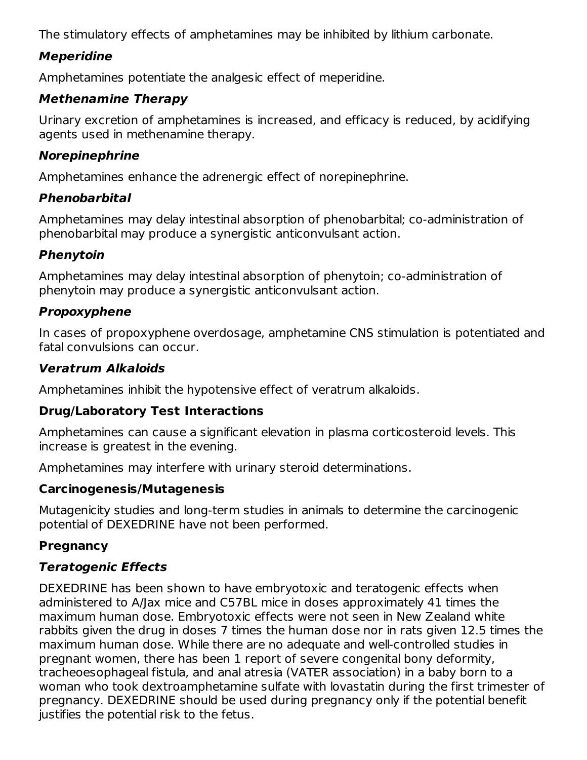The stimulatory effects of amphetamines may be inhibited by lithium carbonate.

## **Meperidine**

Amphetamines potentiate the analgesic effect of meperidine.

## **Methenamine Therapy**

Urinary excretion of amphetamines is increased, and efficacy is reduced, by acidifying agents used in methenamine therapy.

## **Norepinephrine**

Amphetamines enhance the adrenergic effect of norepinephrine.

# **Phenobarbital**

Amphetamines may delay intestinal absorption of phenobarbital; co-administration of phenobarbital may produce a synergistic anticonvulsant action.

# **Phenytoin**

Amphetamines may delay intestinal absorption of phenytoin; co-administration of phenytoin may produce a synergistic anticonvulsant action.

# **Propoxyphene**

In cases of propoxyphene overdosage, amphetamine CNS stimulation is potentiated and fatal convulsions can occur.

# **Veratrum Alkaloids**

Amphetamines inhibit the hypotensive effect of veratrum alkaloids.

## **Drug/Laboratory Test Interactions**

Amphetamines can cause a significant elevation in plasma corticosteroid levels. This increase is greatest in the evening.

Amphetamines may interfere with urinary steroid determinations.

## **Carcinogenesis/Mutagenesis**

Mutagenicity studies and long-term studies in animals to determine the carcinogenic potential of DEXEDRINE have not been performed.

## **Pregnancy**

# **Teratogenic Effects**

DEXEDRINE has been shown to have embryotoxic and teratogenic effects when administered to A/Jax mice and C57BL mice in doses approximately 41 times the maximum human dose. Embryotoxic effects were not seen in New Zealand white rabbits given the drug in doses 7 times the human dose nor in rats given 12.5 times the maximum human dose. While there are no adequate and well-controlled studies in pregnant women, there has been 1 report of severe congenital bony deformity, tracheoesophageal fistula, and anal atresia (VATER association) in a baby born to a woman who took dextroamphetamine sulfate with lovastatin during the first trimester of pregnancy. DEXEDRINE should be used during pregnancy only if the potential benefit justifies the potential risk to the fetus.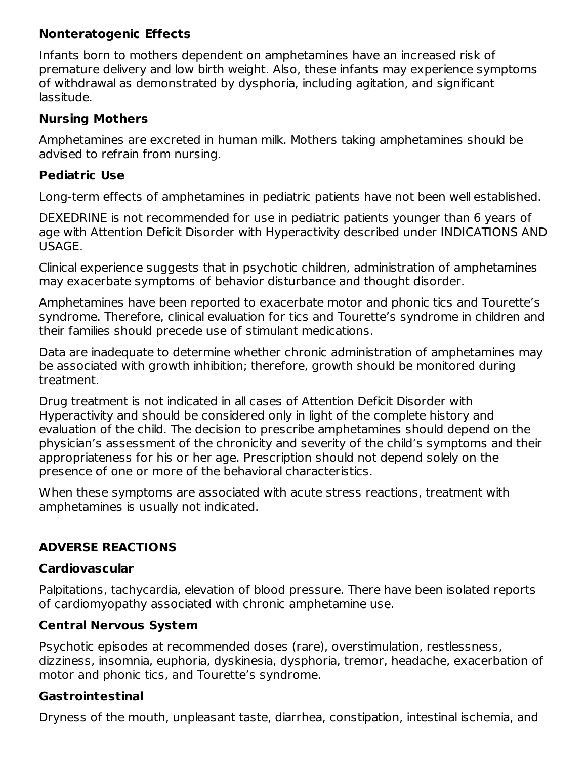#### **Nonteratogenic Effects**

Infants born to mothers dependent on amphetamines have an increased risk of premature delivery and low birth weight. Also, these infants may experience symptoms of withdrawal as demonstrated by dysphoria, including agitation, and significant lassitude.

#### **Nursing Mothers**

Amphetamines are excreted in human milk. Mothers taking amphetamines should be advised to refrain from nursing.

#### **Pediatric Use**

Long-term effects of amphetamines in pediatric patients have not been well established.

DEXEDRINE is not recommended for use in pediatric patients younger than 6 years of age with Attention Deficit Disorder with Hyperactivity described under INDICATIONS AND USAGE.

Clinical experience suggests that in psychotic children, administration of amphetamines may exacerbate symptoms of behavior disturbance and thought disorder.

Amphetamines have been reported to exacerbate motor and phonic tics and Tourette's syndrome. Therefore, clinical evaluation for tics and Tourette's syndrome in children and their families should precede use of stimulant medications.

Data are inadequate to determine whether chronic administration of amphetamines may be associated with growth inhibition; therefore, growth should be monitored during treatment.

Drug treatment is not indicated in all cases of Attention Deficit Disorder with Hyperactivity and should be considered only in light of the complete history and evaluation of the child. The decision to prescribe amphetamines should depend on the physician's assessment of the chronicity and severity of the child's symptoms and their appropriateness for his or her age. Prescription should not depend solely on the presence of one or more of the behavioral characteristics.

When these symptoms are associated with acute stress reactions, treatment with amphetamines is usually not indicated.

## **ADVERSE REACTIONS**

## **Cardiovascular**

Palpitations, tachycardia, elevation of blood pressure. There have been isolated reports of cardiomyopathy associated with chronic amphetamine use.

## **Central Nervous System**

Psychotic episodes at recommended doses (rare), overstimulation, restlessness, dizziness, insomnia, euphoria, dyskinesia, dysphoria, tremor, headache, exacerbation of motor and phonic tics, and Tourette's syndrome.

## **Gastrointestinal**

Dryness of the mouth, unpleasant taste, diarrhea, constipation, intestinal ischemia, and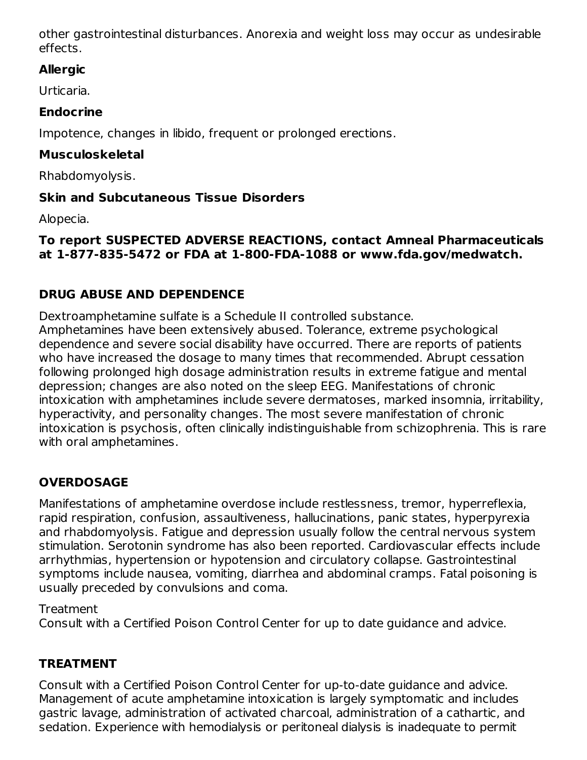other gastrointestinal disturbances. Anorexia and weight loss may occur as undesirable effects.

## **Allergic**

Urticaria.

## **Endocrine**

Impotence, changes in libido, frequent or prolonged erections.

# **Musculoskeletal**

Rhabdomyolysis.

# **Skin and Subcutaneous Tissue Disorders**

Alopecia.

#### **To report SUSPECTED ADVERSE REACTIONS, contact Amneal Pharmaceuticals at 1-877-835-5472 or FDA at 1-800-FDA-1088 or www.fda.gov/medwatch.**

# **DRUG ABUSE AND DEPENDENCE**

Dextroamphetamine sulfate is a Schedule II controlled substance. Amphetamines have been extensively abused. Tolerance, extreme psychological dependence and severe social disability have occurred. There are reports of patients who have increased the dosage to many times that recommended. Abrupt cessation following prolonged high dosage administration results in extreme fatigue and mental depression; changes are also noted on the sleep EEG. Manifestations of chronic intoxication with amphetamines include severe dermatoses, marked insomnia, irritability, hyperactivity, and personality changes. The most severe manifestation of chronic intoxication is psychosis, often clinically indistinguishable from schizophrenia. This is rare with oral amphetamines.

# **OVERDOSAGE**

Manifestations of amphetamine overdose include restlessness, tremor, hyperreflexia, rapid respiration, confusion, assaultiveness, hallucinations, panic states, hyperpyrexia and rhabdomyolysis. Fatigue and depression usually follow the central nervous system stimulation. Serotonin syndrome has also been reported. Cardiovascular effects include arrhythmias, hypertension or hypotension and circulatory collapse. Gastrointestinal symptoms include nausea, vomiting, diarrhea and abdominal cramps. Fatal poisoning is usually preceded by convulsions and coma.

## **Treatment**

Consult with a Certified Poison Control Center for up to date guidance and advice.

# **TREATMENT**

Consult with a Certified Poison Control Center for up-to-date guidance and advice. Management of acute amphetamine intoxication is largely symptomatic and includes gastric lavage, administration of activated charcoal, administration of a cathartic, and sedation. Experience with hemodialysis or peritoneal dialysis is inadequate to permit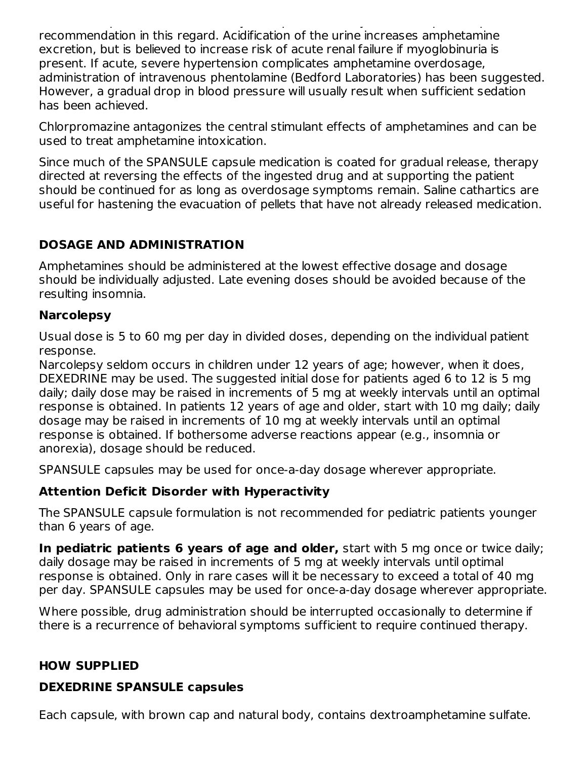sedation. Experience with hemodialysis or peritoneal dialysis is inadequate to permit recommendation in this regard. Acidification of the urine increases amphetamine excretion, but is believed to increase risk of acute renal failure if myoglobinuria is present. If acute, severe hypertension complicates amphetamine overdosage, administration of intravenous phentolamine (Bedford Laboratories) has been suggested. However, a gradual drop in blood pressure will usually result when sufficient sedation has been achieved.

Chlorpromazine antagonizes the central stimulant effects of amphetamines and can be used to treat amphetamine intoxication.

Since much of the SPANSULE capsule medication is coated for gradual release, therapy directed at reversing the effects of the ingested drug and at supporting the patient should be continued for as long as overdosage symptoms remain. Saline cathartics are useful for hastening the evacuation of pellets that have not already released medication.

## **DOSAGE AND ADMINISTRATION**

Amphetamines should be administered at the lowest effective dosage and dosage should be individually adjusted. Late evening doses should be avoided because of the resulting insomnia.

#### **Narcolepsy**

Usual dose is 5 to 60 mg per day in divided doses, depending on the individual patient response.

Narcolepsy seldom occurs in children under 12 years of age; however, when it does, DEXEDRINE may be used. The suggested initial dose for patients aged 6 to 12 is 5 mg daily; daily dose may be raised in increments of 5 mg at weekly intervals until an optimal response is obtained. In patients 12 years of age and older, start with 10 mg daily; daily dosage may be raised in increments of 10 mg at weekly intervals until an optimal response is obtained. If bothersome adverse reactions appear (e.g., insomnia or anorexia), dosage should be reduced.

SPANSULE capsules may be used for once-a-day dosage wherever appropriate.

#### **Attention Deficit Disorder with Hyperactivity**

The SPANSULE capsule formulation is not recommended for pediatric patients younger than 6 years of age.

**In pediatric patients 6 years of age and older,** start with 5 mg once or twice daily; daily dosage may be raised in increments of 5 mg at weekly intervals until optimal response is obtained. Only in rare cases will it be necessary to exceed a total of 40 mg per day. SPANSULE capsules may be used for once-a-day dosage wherever appropriate.

Where possible, drug administration should be interrupted occasionally to determine if there is a recurrence of behavioral symptoms sufficient to require continued therapy.

#### **HOW SUPPLIED**

#### **DEXEDRINE SPANSULE capsules**

Each capsule, with brown cap and natural body, contains dextroamphetamine sulfate.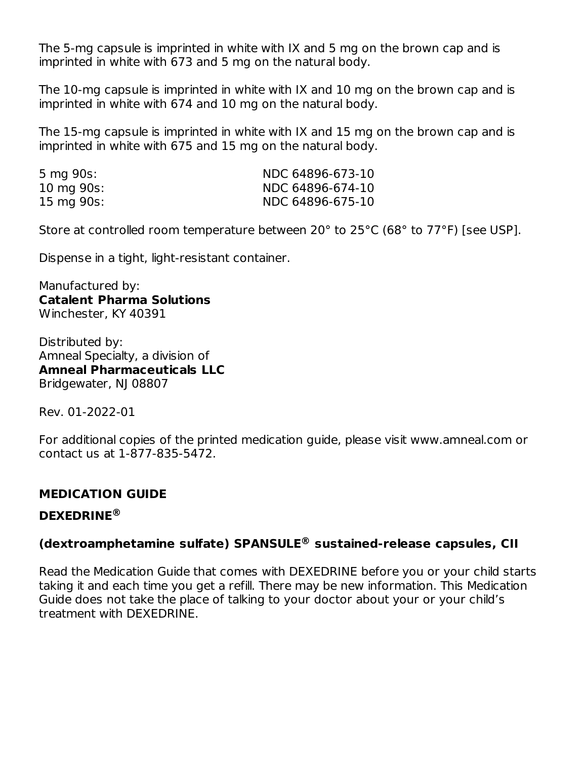The 5-mg capsule is imprinted in white with IX and 5 mg on the brown cap and is imprinted in white with 673 and 5 mg on the natural body.

The 10-mg capsule is imprinted in white with IX and 10 mg on the brown cap and is imprinted in white with 674 and 10 mg on the natural body.

The 15-mg capsule is imprinted in white with IX and 15 mg on the brown cap and is imprinted in white with 675 and 15 mg on the natural body.

| NDC 64896-673-10 |
|------------------|
| NDC 64896-674-10 |
| NDC 64896-675-10 |
|                  |

Store at controlled room temperature between 20° to 25°C (68° to 77°F) [see USP].

Dispense in a tight, light-resistant container.

Manufactured by: **Catalent Pharma Solutions** Winchester, KY 40391

Distributed by: Amneal Specialty, a division of **Amneal Pharmaceuticals LLC** Bridgewater, NJ 08807

Rev. 01-2022-01

For additional copies of the printed medication guide, please visit www.amneal.com or contact us at 1-877-835-5472.

#### **MEDICATION GUIDE**

#### **DEXEDRINE ®**

#### **(dextroamphetamine sulfate) SPANSULE sustained-release capsules, CII ®**

Read the Medication Guide that comes with DEXEDRINE before you or your child starts taking it and each time you get a refill. There may be new information. This Medication Guide does not take the place of talking to your doctor about your or your child's treatment with DEXEDRINE.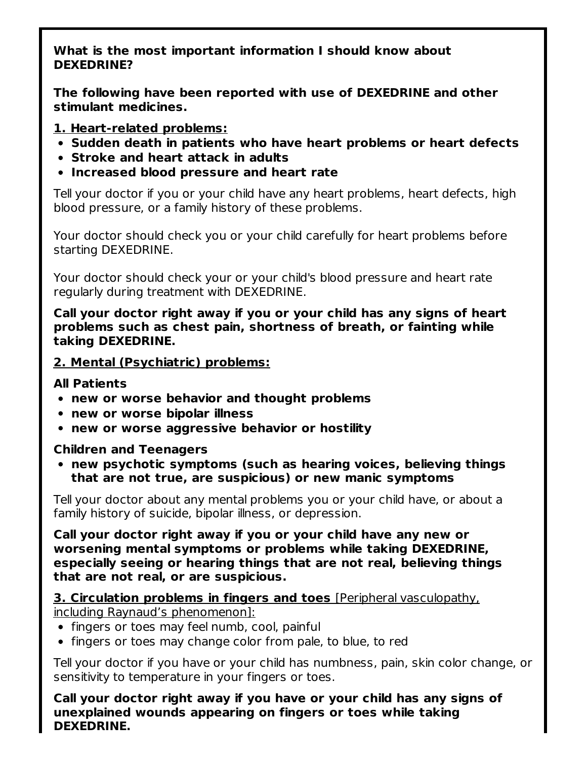#### **What is the most important information I should know about DEXEDRINE?**

**The following have been reported with use of DEXEDRINE and other stimulant medicines.**

## **1. Heart-related problems:**

- **Sudden death in patients who have heart problems or heart defects**
- **Stroke and heart attack in adults**
- **Increased blood pressure and heart rate**

Tell your doctor if you or your child have any heart problems, heart defects, high blood pressure, or a family history of these problems.

Your doctor should check you or your child carefully for heart problems before starting DEXEDRINE.

Your doctor should check your or your child's blood pressure and heart rate regularly during treatment with DEXEDRINE.

**Call your doctor right away if you or your child has any signs of heart problems such as chest pain, shortness of breath, or fainting while taking DEXEDRINE.**

#### **2. Mental (Psychiatric) problems:**

#### **All Patients**

- **new or worse behavior and thought problems**
- **new or worse bipolar illness**
- **new or worse aggressive behavior or hostility**

## **Children and Teenagers**

**new psychotic symptoms (such as hearing voices, believing things that are not true, are suspicious) or new manic symptoms**

Tell your doctor about any mental problems you or your child have, or about a family history of suicide, bipolar illness, or depression.

**Call your doctor right away if you or your child have any new or worsening mental symptoms or problems while taking DEXEDRINE, especially seeing or hearing things that are not real, believing things that are not real, or are suspicious.**

**3. Circulation problems in fingers and toes** [Peripheral vasculopathy, including Raynaud's phenomenon]:

- fingers or toes may feel numb, cool, painful
- fingers or toes may change color from pale, to blue, to red

Tell your doctor if you have or your child has numbness, pain, skin color change, or sensitivity to temperature in your fingers or toes.

**Call your doctor right away if you have or your child has any signs of unexplained wounds appearing on fingers or toes while taking DEXEDRINE.**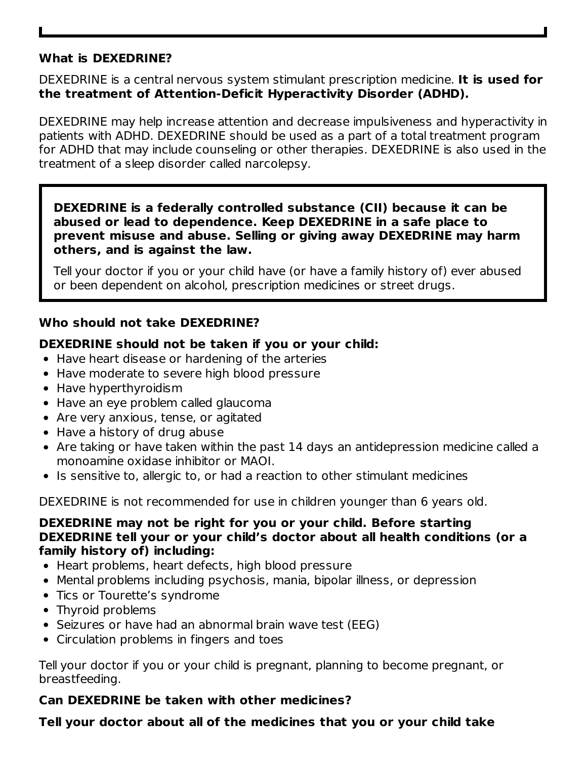#### **What is DEXEDRINE?**

DEXEDRINE is a central nervous system stimulant prescription medicine. **It is used for the treatment of Attention-Deficit Hyperactivity Disorder (ADHD).**

DEXEDRINE may help increase attention and decrease impulsiveness and hyperactivity in patients with ADHD. DEXEDRINE should be used as a part of a total treatment program for ADHD that may include counseling or other therapies. DEXEDRINE is also used in the treatment of a sleep disorder called narcolepsy.

**DEXEDRINE is a federally controlled substance (CII) because it can be abused or lead to dependence. Keep DEXEDRINE in a safe place to prevent misuse and abuse. Selling or giving away DEXEDRINE may harm others, and is against the law.**

Tell your doctor if you or your child have (or have a family history of) ever abused or been dependent on alcohol, prescription medicines or street drugs.

#### **Who should not take DEXEDRINE?**

#### **DEXEDRINE should not be taken if you or your child:**

- Have heart disease or hardening of the arteries
- Have moderate to severe high blood pressure
- Have hyperthyroidism
- Have an eye problem called glaucoma
- Are very anxious, tense, or agitated
- Have a history of drug abuse
- Are taking or have taken within the past 14 days an antidepression medicine called a monoamine oxidase inhibitor or MAOI.
- Is sensitive to, allergic to, or had a reaction to other stimulant medicines

DEXEDRINE is not recommended for use in children younger than 6 years old.

#### **DEXEDRINE may not be right for you or your child. Before starting DEXEDRINE tell your or your child's doctor about all health conditions (or a family history of) including:**

- Heart problems, heart defects, high blood pressure
- Mental problems including psychosis, mania, bipolar illness, or depression
- Tics or Tourette's syndrome
- Thyroid problems
- Seizures or have had an abnormal brain wave test (EEG)
- Circulation problems in fingers and toes

Tell your doctor if you or your child is pregnant, planning to become pregnant, or breastfeeding.

#### **Can DEXEDRINE be taken with other medicines?**

**Tell your doctor about all of the medicines that you or your child take**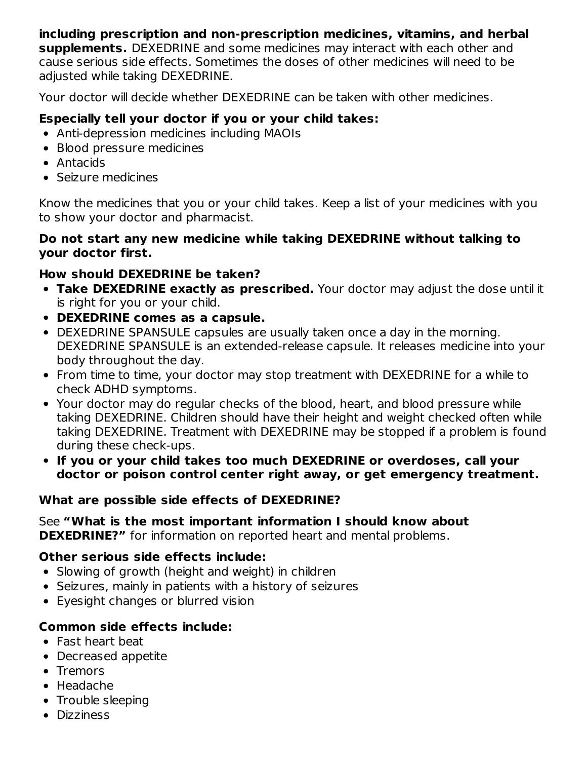## **including prescription and non-prescription medicines, vitamins, and herbal**

**supplements.** DEXEDRINE and some medicines may interact with each other and cause serious side effects. Sometimes the doses of other medicines will need to be adjusted while taking DEXEDRINE.

Your doctor will decide whether DEXEDRINE can be taken with other medicines.

#### **Especially tell your doctor if you or your child takes:**

- Anti-depression medicines including MAOIs
- Blood pressure medicines
- Antacids
- Seizure medicines

Know the medicines that you or your child takes. Keep a list of your medicines with you to show your doctor and pharmacist.

#### **Do not start any new medicine while taking DEXEDRINE without talking to your doctor first.**

#### **How should DEXEDRINE be taken?**

- **Take DEXEDRINE exactly as prescribed.** Your doctor may adjust the dose until it is right for you or your child.
- **DEXEDRINE comes as a capsule.**
- DEXEDRINE SPANSULE capsules are usually taken once a day in the morning. DEXEDRINE SPANSULE is an extended-release capsule. It releases medicine into your body throughout the day.
- From time to time, your doctor may stop treatment with DEXEDRINE for a while to check ADHD symptoms.
- Your doctor may do regular checks of the blood, heart, and blood pressure while taking DEXEDRINE. Children should have their height and weight checked often while taking DEXEDRINE. Treatment with DEXEDRINE may be stopped if a problem is found during these check-ups.
- **If you or your child takes too much DEXEDRINE or overdoses, call your doctor or poison control center right away, or get emergency treatment.**

#### **What are possible side effects of DEXEDRINE?**

#### See **"What is the most important information I should know about DEXEDRINE?"** for information on reported heart and mental problems.

#### **Other serious side effects include:**

- Slowing of growth (height and weight) in children
- Seizures, mainly in patients with a history of seizures
- Eyesight changes or blurred vision

#### **Common side effects include:**

- Fast heart beat
- Decreased appetite
- Tremors
- Headache
- Trouble sleeping
- Dizziness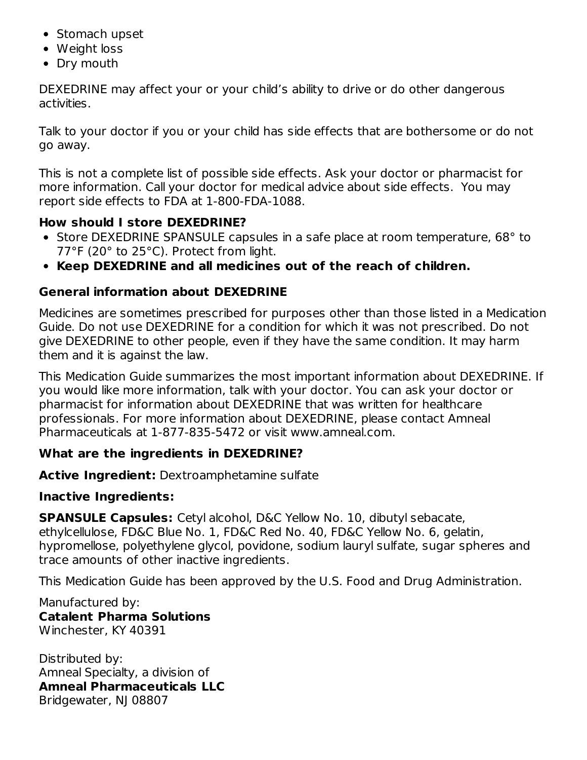- Stomach upset
- Weight loss
- Dry mouth

DEXEDRINE may affect your or your child's ability to drive or do other dangerous activities.

Talk to your doctor if you or your child has side effects that are bothersome or do not go away.

This is not a complete list of possible side effects. Ask your doctor or pharmacist for more information. Call your doctor for medical advice about side effects. You may report side effects to FDA at 1-800-FDA-1088.

## **How should I store DEXEDRINE?**

- Store DEXEDRINE SPANSULE capsules in a safe place at room temperature, 68° to 77°F (20° to 25°C). Protect from light.
- **Keep DEXEDRINE and all medicines out of the reach of children.**

## **General information about DEXEDRINE**

Medicines are sometimes prescribed for purposes other than those listed in a Medication Guide. Do not use DEXEDRINE for a condition for which it was not prescribed. Do not give DEXEDRINE to other people, even if they have the same condition. It may harm them and it is against the law.

This Medication Guide summarizes the most important information about DEXEDRINE. If you would like more information, talk with your doctor. You can ask your doctor or pharmacist for information about DEXEDRINE that was written for healthcare professionals. For more information about DEXEDRINE, please contact Amneal Pharmaceuticals at 1-877-835-5472 or visit www.amneal.com.

## **What are the ingredients in DEXEDRINE?**

**Active Ingredient:** Dextroamphetamine sulfate

## **Inactive Ingredients:**

**SPANSULE Capsules:** Cetyl alcohol, D&C Yellow No. 10, dibutyl sebacate, ethylcellulose, FD&C Blue No. 1, FD&C Red No. 40, FD&C Yellow No. 6, gelatin, hypromellose, polyethylene glycol, povidone, sodium lauryl sulfate, sugar spheres and trace amounts of other inactive ingredients.

This Medication Guide has been approved by the U.S. Food and Drug Administration.

Manufactured by: **Catalent Pharma Solutions** Winchester, KY 40391

Distributed by: Amneal Specialty, a division of **Amneal Pharmaceuticals LLC** Bridgewater, NJ 08807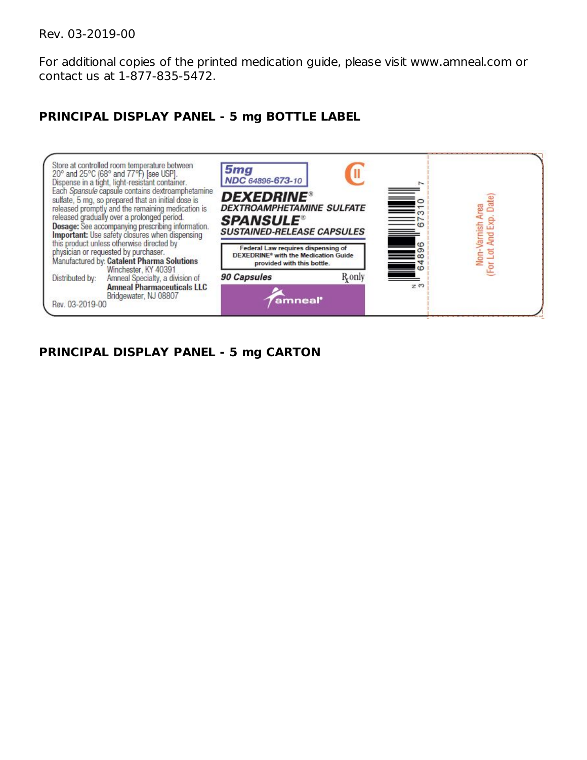Rev. 03-2019-00

For additional copies of the printed medication guide, please visit www.amneal.com or contact us at 1-877-835-5472.

#### **PRINCIPAL DISPLAY PANEL - 5 mg BOTTLE LABEL**



#### **PRINCIPAL DISPLAY PANEL - 5 mg CARTON**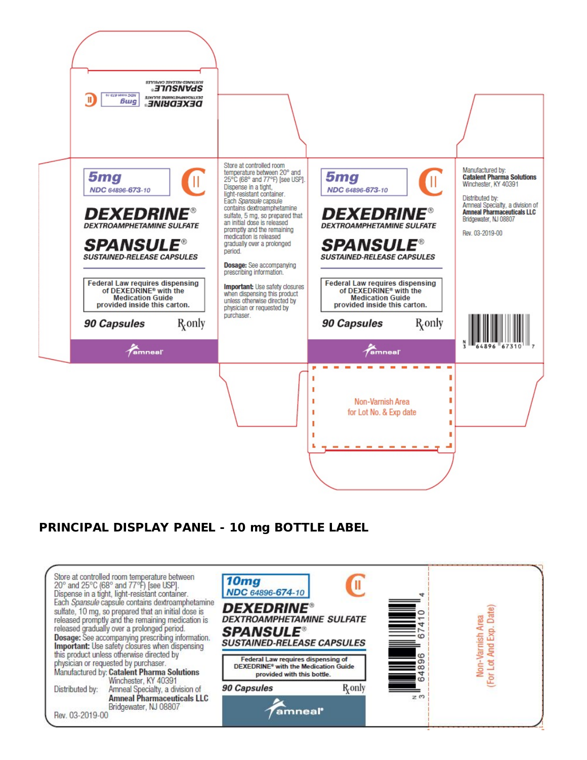

#### **PRINCIPAL DISPLAY PANEL - 10 mg BOTTLE LABEL**

| Store at controlled room temperature between<br>20° and 25°C (68° and 77°F) [see USP].<br>Dispense in a tight, light-resistant container.                                                                                                                                                                          | 10 <sub>mg</sub><br>NDC 64896-674-10                                                                     |                                                           |                                        |
|--------------------------------------------------------------------------------------------------------------------------------------------------------------------------------------------------------------------------------------------------------------------------------------------------------------------|----------------------------------------------------------------------------------------------------------|-----------------------------------------------------------|----------------------------------------|
| Each Spansule capsule contains dextroamphetamine<br>sulfate, 10 mg, so prepared that an initial dose is<br>released promptly and the remaining medication is<br>released gradually over a prolonged period.<br>Dosage: See accompanying prescribing information.<br>Important: Use safety closures when dispensing | <b>DEXEDRINE®</b><br>DEXTROAMPHETAMINE SULFATE<br><b>SPANSULE®</b><br><b>SUSTAINED-RELEASE CAPSULES</b>  | $\blacksquare$                                            | <b>Non-Varnish Area</b><br>£xp.<br>And |
| this product unless otherwise directed by<br>physician or requested by purchaser.<br>Manufactured by: Catalent Pharma Solutions<br>Winchester, KY 40391                                                                                                                                                            | Federal Law requires dispensing of<br>DEXEDRINE® with the Medication Guide<br>provided with this bottle. | $\circ$<br>$=$ $\frac{8}{3}$<br>$\overline{\mathbb{R}}_4$ | $\overline{a}$                         |
| Distributed by:<br>Amneal Specialty, a division of<br><b>Amneal Pharmaceuticals LLC</b><br>Bridgewater, NJ 08807<br>Rev. 03-2019-00                                                                                                                                                                                | <b>90 Capsules</b><br>Ronly<br>'amneal                                                                   | z <sub>m</sub>                                            |                                        |
|                                                                                                                                                                                                                                                                                                                    |                                                                                                          |                                                           |                                        |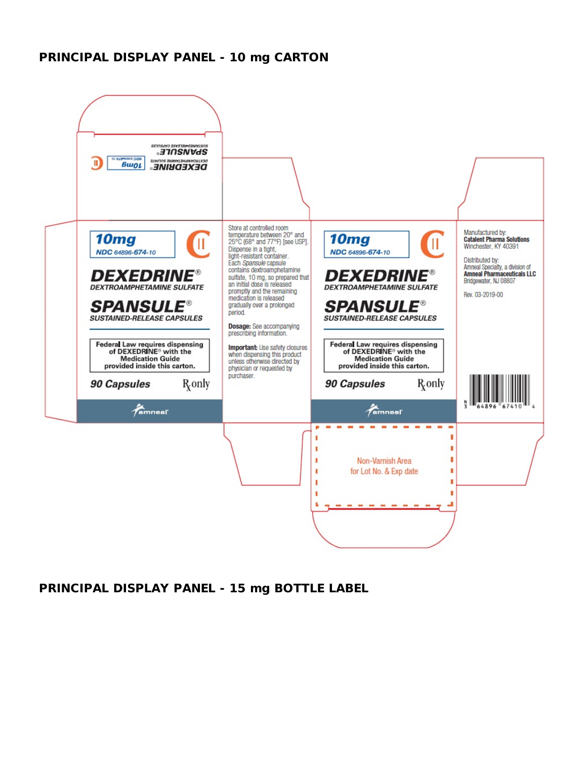#### **PRINCIPAL DISPLAY PANEL - 10 mg CARTON**



#### **PRINCIPAL DISPLAY PANEL - 15 mg BOTTLE LABEL**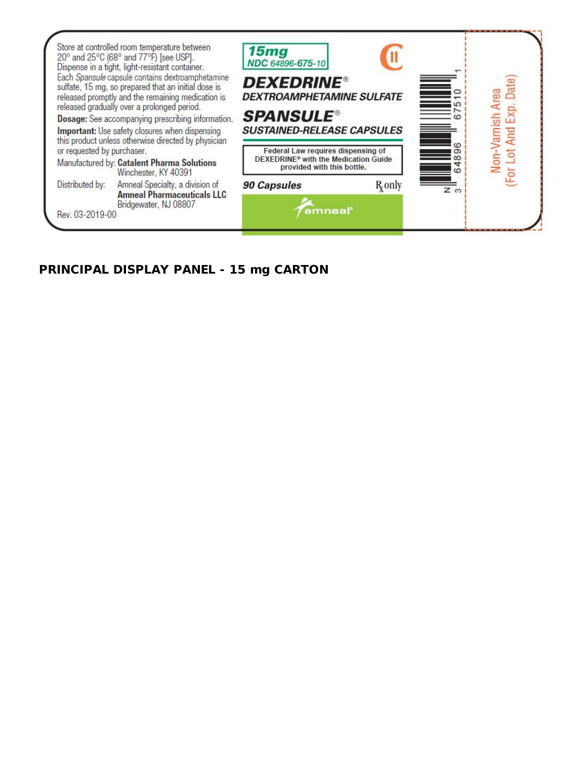

#### **PRINCIPAL DISPLAY PANEL - 15 mg CARTON**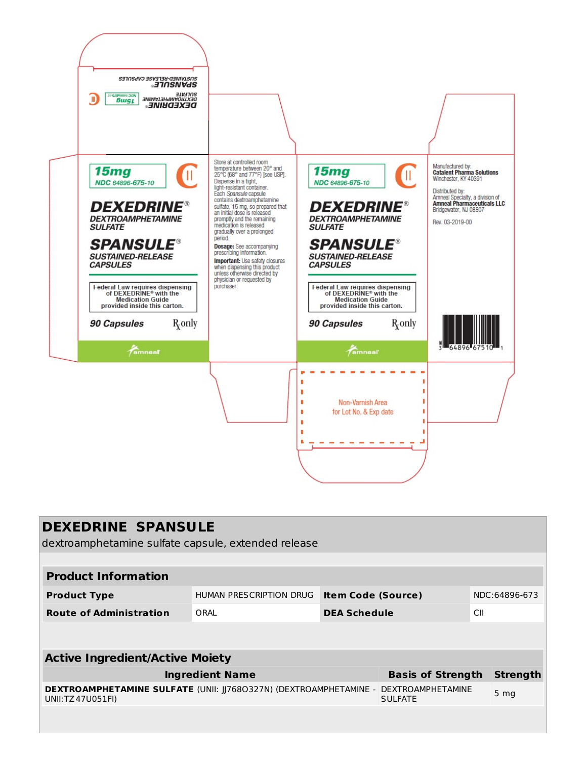

| <b>DEXEDRINE SPANSULE</b><br>dextroamphetamine sulfate capsule, extended release      |                         |                                            |  |                 |               |  |
|---------------------------------------------------------------------------------------|-------------------------|--------------------------------------------|--|-----------------|---------------|--|
|                                                                                       |                         |                                            |  |                 |               |  |
| <b>Product Information</b>                                                            |                         |                                            |  |                 |               |  |
| <b>Product Type</b>                                                                   | HUMAN PRESCRIPTION DRUG | <b>Item Code (Source)</b>                  |  |                 | NDC:64896-673 |  |
| <b>Route of Administration</b>                                                        | ORAL                    | <b>DEA Schedule</b>                        |  | CII             |               |  |
|                                                                                       |                         |                                            |  |                 |               |  |
| <b>Active Ingredient/Active Moiety</b>                                                |                         |                                            |  |                 |               |  |
| <b>Ingredient Name</b>                                                                |                         | <b>Basis of Strength</b>                   |  | <b>Strength</b> |               |  |
| DEXTROAMPHETAMINE SULFATE (UNII: JJ7680327N) (DEXTROAMPHETAMINE -<br>UNII:TZ47U051FI) |                         | <b>DEXTROAMPHETAMINE</b><br><b>SULFATE</b> |  | 5 mg            |               |  |
|                                                                                       |                         |                                            |  |                 |               |  |
|                                                                                       |                         |                                            |  |                 |               |  |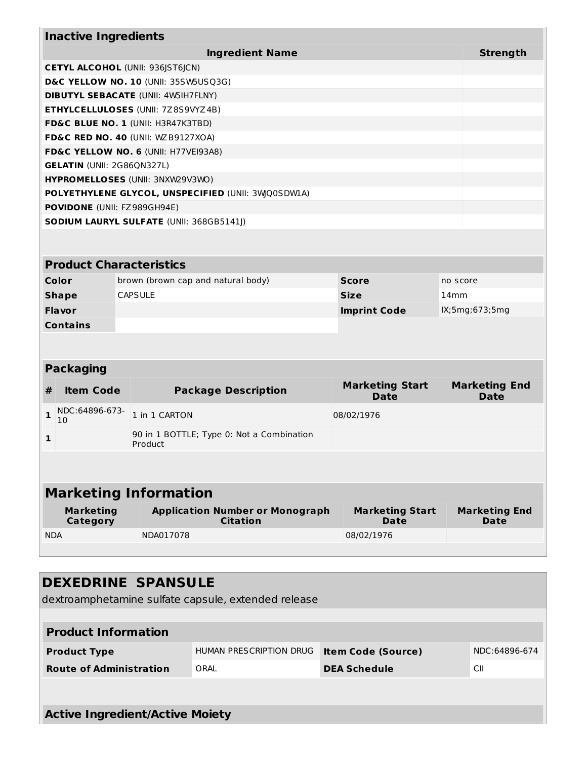| <b>Inactive Ingredients</b>                        |                 |
|----------------------------------------------------|-----------------|
| <b>Ingredient Name</b>                             | <b>Strength</b> |
| <b>CETYL ALCOHOL (UNII: 936 ST6 CN)</b>            |                 |
| D&C YELLOW NO. 10 (UNII: 35SW5USQ3G)               |                 |
| <b>DIBUTYL SEBACATE (UNII: 4W5IH7FLNY)</b>         |                 |
| <b>ETHYLCELLULOSES (UNII: 7Z8S9VYZ4B)</b>          |                 |
| <b>FD&amp;C BLUE NO. 1 (UNII: H3R47K3TBD)</b>      |                 |
| <b>FD&amp;C RED NO. 40 (UNII: WZB9127XOA)</b>      |                 |
| <b>FD&amp;C YELLOW NO. 6 (UNII: H77VEI93A8)</b>    |                 |
| <b>GELATIN (UNII: 2G86QN327L)</b>                  |                 |
| HYPROMELLOSES (UNII: 3NXW29V3WO)                   |                 |
| POLYETHYLENE GLYCOL, UNSPECIFIED (UNII: 3WQ0SDWIA) |                 |
| <b>POVIDONE</b> (UNII: FZ989GH94E)                 |                 |
| <b>SODIUM LAURYL SULFATE (UNII: 368GB5141I)</b>    |                 |
|                                                    |                 |

#### **Product Characteristics**

| Color           | brown (brown cap and natural body) | <b>Score</b>        | no score       |
|-----------------|------------------------------------|---------------------|----------------|
| <b>Shape</b>    | CAPSULE                            | <b>Size</b>         | 14mm           |
| <b>Flavor</b>   |                                    | <b>Imprint Code</b> | IX;5mg;673;5mg |
| <b>Contains</b> |                                    |                     |                |

# **Packaging**

| #            | <b>Item Code</b>             | <b>Package Description</b>                                | <b>Marketing Start</b><br><b>Date</b> | <b>Marketing End</b><br>Date |  |  |  |  |
|--------------|------------------------------|-----------------------------------------------------------|---------------------------------------|------------------------------|--|--|--|--|
|              | NDC:64896-673-<br>10         | 1 in 1 CARTON                                             | 08/02/1976                            |                              |  |  |  |  |
| $\mathbf{1}$ |                              | 90 in 1 BOTTLE; Type 0: Not a Combination<br>Product      |                                       |                              |  |  |  |  |
|              |                              |                                                           |                                       |                              |  |  |  |  |
|              | <b>Marketing Information</b> |                                                           |                                       |                              |  |  |  |  |
|              | <b>Marketing</b><br>Category | <b>Application Number or Monograph</b><br><b>Citation</b> | <b>Marketing Start</b><br>Date        | <b>Marketing End</b><br>Date |  |  |  |  |
| <b>NDA</b>   |                              | NDA017078                                                 | 08/02/1976                            |                              |  |  |  |  |

| <b>DEXEDRINE SPANSULE</b>                           |                         |                           |               |  |  |  |  |  |
|-----------------------------------------------------|-------------------------|---------------------------|---------------|--|--|--|--|--|
| dextroamphetamine sulfate capsule, extended release |                         |                           |               |  |  |  |  |  |
|                                                     |                         |                           |               |  |  |  |  |  |
| <b>Product Information</b>                          |                         |                           |               |  |  |  |  |  |
| <b>Product Type</b>                                 | HUMAN PRESCRIPTION DRUG | <b>Item Code (Source)</b> | NDC:64896-674 |  |  |  |  |  |
| <b>Route of Administration</b>                      | ORAI                    | <b>DEA Schedule</b>       | CII           |  |  |  |  |  |
|                                                     |                         |                           |               |  |  |  |  |  |
|                                                     |                         |                           |               |  |  |  |  |  |
| <b>Active Ingredient/Active Moiety</b>              |                         |                           |               |  |  |  |  |  |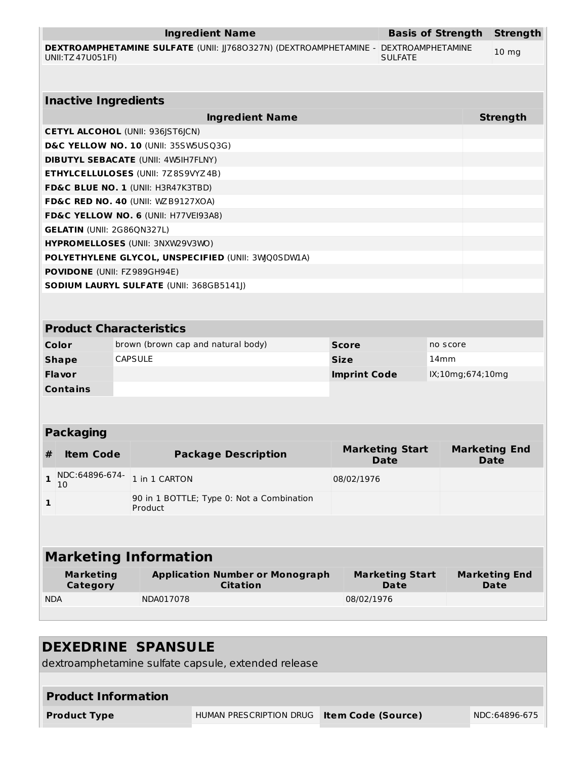|   |                                    |  | <b>Ingredient Name</b>                                                              |                     |                                       | <b>Basis of Strength</b> | <b>Strength</b>                     |  |
|---|------------------------------------|--|-------------------------------------------------------------------------------------|---------------------|---------------------------------------|--------------------------|-------------------------------------|--|
|   | UNII:TZ47U051FI)                   |  | DEXTROAMPHETAMINE SULFATE (UNII: JJ7680327N) (DEXTROAMPHETAMINE - DEXTROAMPHETAMINE |                     | <b>SULFATE</b>                        |                          | 10 <sub>mg</sub>                    |  |
|   |                                    |  |                                                                                     |                     |                                       |                          |                                     |  |
|   | <b>Inactive Ingredients</b>        |  |                                                                                     |                     |                                       |                          |                                     |  |
|   |                                    |  | <b>Ingredient Name</b>                                                              |                     |                                       |                          | <b>Strength</b>                     |  |
|   |                                    |  | <b>CETYL ALCOHOL (UNII: 936JST6JCN)</b>                                             |                     |                                       |                          |                                     |  |
|   |                                    |  | D&C YELLOW NO. 10 (UNII: 35SW5USQ3G)                                                |                     |                                       |                          |                                     |  |
|   |                                    |  | <b>DIBUTYL SEBACATE (UNII: 4W5IH7FLNY)</b>                                          |                     |                                       |                          |                                     |  |
|   |                                    |  | <b>ETHYLCELLULOSES (UNII: 7Z8S9VYZ4B)</b>                                           |                     |                                       |                          |                                     |  |
|   |                                    |  | FD&C BLUE NO. 1 (UNII: H3R47K3TBD)                                                  |                     |                                       |                          |                                     |  |
|   |                                    |  | <b>FD&amp;C RED NO. 40 (UNII: WZB9127XOA)</b>                                       |                     |                                       |                          |                                     |  |
|   |                                    |  | FD&C YELLOW NO. 6 (UNII: H77VEI93A8)                                                |                     |                                       |                          |                                     |  |
|   | <b>GELATIN (UNII: 2G86QN327L)</b>  |  |                                                                                     |                     |                                       |                          |                                     |  |
|   |                                    |  | HYPROMELLOSES (UNII: 3NXW29V3WO)                                                    |                     |                                       |                          |                                     |  |
|   |                                    |  | POLYETHYLENE GLYCOL, UNSPECIFIED (UNII: 3WQ0SDW1A)                                  |                     |                                       |                          |                                     |  |
|   | <b>POVIDONE</b> (UNII: FZ989GH94E) |  |                                                                                     |                     |                                       |                          |                                     |  |
|   |                                    |  | <b>SODIUM LAURYL SULFATE (UNII: 368GB5141J)</b>                                     |                     |                                       |                          |                                     |  |
|   |                                    |  |                                                                                     |                     |                                       |                          |                                     |  |
|   | <b>Product Characteristics</b>     |  |                                                                                     |                     |                                       |                          |                                     |  |
|   | Color                              |  | brown (brown cap and natural body)                                                  | <b>Score</b>        |                                       | no score                 |                                     |  |
|   | <b>Shape</b>                       |  | <b>CAPSULE</b>                                                                      | <b>Size</b>         |                                       | 14mm                     |                                     |  |
|   | <b>Flavor</b>                      |  |                                                                                     | <b>Imprint Code</b> |                                       | IX;10mg;674;10mg         |                                     |  |
|   | <b>Contains</b>                    |  |                                                                                     |                     |                                       |                          |                                     |  |
|   |                                    |  |                                                                                     |                     |                                       |                          |                                     |  |
|   |                                    |  |                                                                                     |                     |                                       |                          |                                     |  |
|   | <b>Packaging</b>                   |  |                                                                                     |                     |                                       |                          |                                     |  |
| # | <b>Item Code</b>                   |  | <b>Package Description</b>                                                          |                     | <b>Marketing Start</b><br><b>Date</b> |                          | <b>Marketing End</b><br><b>Date</b> |  |
| 1 | NDC:64896-674-<br>10               |  | 1 in 1 CARTON                                                                       | 08/02/1976          |                                       |                          |                                     |  |
| 1 |                                    |  | 90 in 1 BOTTLE; Type 0: Not a Combination<br>Product                                |                     |                                       |                          |                                     |  |
|   |                                    |  |                                                                                     |                     |                                       |                          |                                     |  |
|   |                                    |  | <b>Marketing Information</b>                                                        |                     |                                       |                          |                                     |  |
|   | <b>Marketing</b><br>Category       |  | <b>Application Number or Monograph</b><br><b>Citation</b>                           |                     | <b>Marketing Start</b><br><b>Date</b> |                          | <b>Marketing End</b><br><b>Date</b> |  |

| <b>DEXEDRINE SPANSULE</b><br>dextroamphetamine sulfate capsule, extended release |                                              |  |               |  |  |  |
|----------------------------------------------------------------------------------|----------------------------------------------|--|---------------|--|--|--|
| <b>Product Information</b>                                                       |                                              |  |               |  |  |  |
| <b>Product Type</b>                                                              | HUMAN PRESCRIPTION DRUG   Item Code (Source) |  | NDC:64896-675 |  |  |  |

NDA NDA017078 08/02/1976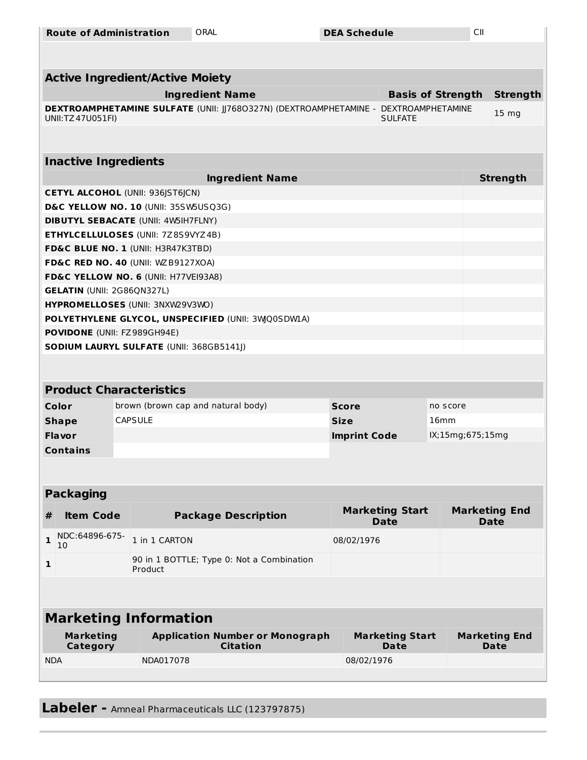| <b>Route of Administration</b>                  |                                                      |               | CII<br>ORAL<br><b>DEA Schedule</b>                                |  |                     |                                            |                  |  |                                     |
|-------------------------------------------------|------------------------------------------------------|---------------|-------------------------------------------------------------------|--|---------------------|--------------------------------------------|------------------|--|-------------------------------------|
|                                                 |                                                      |               |                                                                   |  |                     |                                            |                  |  |                                     |
|                                                 |                                                      |               |                                                                   |  |                     |                                            |                  |  |                                     |
| <b>Active Ingredient/Active Moiety</b>          |                                                      |               |                                                                   |  |                     |                                            |                  |  |                                     |
|                                                 |                                                      |               | <b>Ingredient Name</b>                                            |  |                     | <b>Basis of Strength</b>                   |                  |  | <b>Strength</b>                     |
| UNII:TZ 47U051FI)                               |                                                      |               | DEXTROAMPHETAMINE SULFATE (UNII: JJ7680327N) (DEXTROAMPHETAMINE - |  |                     | <b>DEXTROAMPHETAMINE</b><br><b>SULFATE</b> |                  |  | 15 <sub>mg</sub>                    |
|                                                 |                                                      |               |                                                                   |  |                     |                                            |                  |  |                                     |
| <b>Inactive Ingredients</b>                     |                                                      |               |                                                                   |  |                     |                                            |                  |  |                                     |
|                                                 |                                                      |               | <b>Ingredient Name</b>                                            |  |                     |                                            |                  |  | <b>Strength</b>                     |
| <b>CETYL ALCOHOL (UNII: 936JST6JCN)</b>         |                                                      |               |                                                                   |  |                     |                                            |                  |  |                                     |
| D&C YELLOW NO. 10 (UNII: 35SW5USQ3G)            |                                                      |               |                                                                   |  |                     |                                            |                  |  |                                     |
| <b>DIBUTYL SEBACATE (UNII: 4W5IH7FLNY)</b>      |                                                      |               |                                                                   |  |                     |                                            |                  |  |                                     |
| ETHYLCELLULOSES (UNII: 7Z8S9VYZ4B)              |                                                      |               |                                                                   |  |                     |                                            |                  |  |                                     |
| FD&C BLUE NO. 1 (UNII: H3R47K3TBD)              |                                                      |               |                                                                   |  |                     |                                            |                  |  |                                     |
| FD&C RED NO. 40 (UNII: WZB9127XOA)              |                                                      |               |                                                                   |  |                     |                                            |                  |  |                                     |
| FD&C YELLOW NO. 6 (UNII: H77VEI93A8)            |                                                      |               |                                                                   |  |                     |                                            |                  |  |                                     |
| <b>GELATIN (UNII: 2G86QN327L)</b>               |                                                      |               |                                                                   |  |                     |                                            |                  |  |                                     |
| HYPROMELLOSES (UNII: 3NXW29V3WO)                |                                                      |               |                                                                   |  |                     |                                            |                  |  |                                     |
|                                                 |                                                      |               | POLYETHYLENE GLYCOL, UNSPECIFIED (UNII: 3WQ0SDWLA)                |  |                     |                                            |                  |  |                                     |
| <b>POVIDONE</b> (UNII: FZ989GH94E)              |                                                      |               |                                                                   |  |                     |                                            |                  |  |                                     |
| <b>SODIUM LAURYL SULFATE (UNII: 368GB5141J)</b> |                                                      |               |                                                                   |  |                     |                                            |                  |  |                                     |
|                                                 |                                                      |               |                                                                   |  |                     |                                            |                  |  |                                     |
|                                                 |                                                      |               |                                                                   |  |                     |                                            |                  |  |                                     |
| <b>Product Characteristics</b>                  |                                                      |               |                                                                   |  |                     |                                            |                  |  |                                     |
| Color                                           |                                                      |               | brown (brown cap and natural body)                                |  | <b>Score</b>        |                                            | no score         |  |                                     |
| <b>Shape</b>                                    | <b>CAPSULE</b>                                       |               |                                                                   |  | <b>Size</b>         |                                            | 16 <sub>mm</sub> |  |                                     |
| <b>Flavor</b>                                   |                                                      |               |                                                                   |  | <b>Imprint Code</b> |                                            | IX;15mg;675;15mg |  |                                     |
| <b>Contains</b>                                 |                                                      |               |                                                                   |  |                     |                                            |                  |  |                                     |
|                                                 |                                                      |               |                                                                   |  |                     |                                            |                  |  |                                     |
|                                                 |                                                      |               |                                                                   |  |                     |                                            |                  |  |                                     |
| <b>Packaging</b>                                |                                                      |               |                                                                   |  |                     |                                            |                  |  |                                     |
|                                                 |                                                      |               |                                                                   |  |                     |                                            |                  |  |                                     |
| <b>Item Code</b><br>#                           |                                                      |               | <b>Package Description</b>                                        |  |                     | <b>Marketing Start</b><br><b>Date</b>      |                  |  | <b>Marketing End</b><br><b>Date</b> |
| NDC:64896-675-<br>$\mathbf{1}$<br>10            |                                                      | 1 in 1 CARTON |                                                                   |  | 08/02/1976          |                                            |                  |  |                                     |
| 1                                               | 90 in 1 BOTTLE; Type 0: Not a Combination<br>Product |               |                                                                   |  |                     |                                            |                  |  |                                     |
|                                                 |                                                      |               |                                                                   |  |                     |                                            |                  |  |                                     |
|                                                 |                                                      |               |                                                                   |  |                     |                                            |                  |  |                                     |
| <b>Marketing Information</b>                    |                                                      |               |                                                                   |  |                     |                                            |                  |  |                                     |
| <b>Marketing</b><br><b>Category</b>             |                                                      |               | <b>Application Number or Monograph</b><br><b>Citation</b>         |  |                     | <b>Marketing Start</b><br><b>Date</b>      |                  |  | <b>Marketing End</b><br>Date        |
| <b>NDA</b>                                      |                                                      | NDA017078     |                                                                   |  | 08/02/1976          |                                            |                  |  |                                     |
|                                                 |                                                      |               |                                                                   |  |                     |                                            |                  |  |                                     |

**Labeler -** Amneal Pharmaceuticals LLC (123797875)